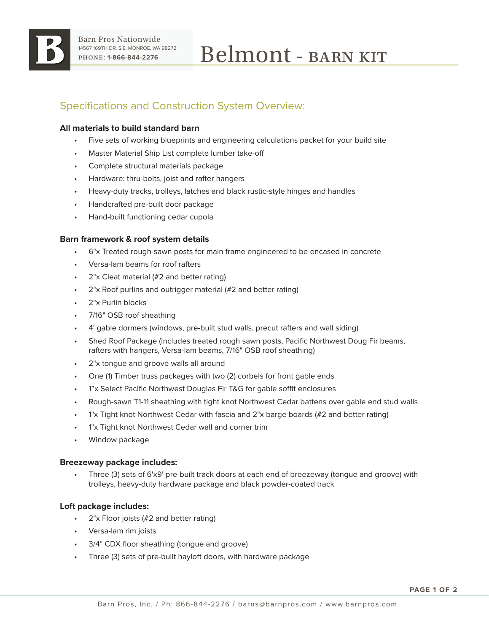

# Specifications and Construction System Overview:

# **All materials to build standard barn**

- Five sets of working blueprints and engineering calculations packet for your build site
- Master Material Ship List complete lumber take-off
- Complete structural materials package
- Hardware: thru-bolts, joist and rafter hangers
- Heavy-duty tracks, trolleys, latches and black rustic-style hinges and handles
- Handcrafted pre-built door package
- Hand-built functioning cedar cupola

## **Barn framework & roof system details**

- 6"x Treated rough-sawn posts for main frame engineered to be encased in concrete
- Versa-lam beams for roof rafters
- 2"x Cleat material (#2 and better rating)
- 2"x Roof purlins and outrigger material (#2 and better rating)
- 2"x Purlin blocks
- 7/16" OSB roof sheathing
- 4' gable dormers (windows, pre-built stud walls, precut rafters and wall siding)
- Shed Roof Package (Includes treated rough sawn posts, Pacific Northwest Doug Fir beams, rafters with hangers, Versa-lam beams, 7/16" OSB roof sheathing)
- 2"x tonque and groove walls all around
- One (1) Timber truss packages with two (2) corbels for front gable ends
- 1"x Select Pacific Northwest Douglas Fir T&G for gable soffit enclosures
- Rough-sawn T1-11 sheathing with tight knot Northwest Cedar battens over gable end stud walls
- 1"x Tight knot Northwest Cedar with fascia and 2"x barge boards (#2 and better rating)
- 1"x Tight knot Northwest Cedar wall and corner trim
- Window package

### **Breezeway package includes:**

• Three (3) sets of 6'x9' pre-built track doors at each end of breezeway (tongue and groove) with trolleys, heavy-duty hardware package and black powder-coated track

# **Loft package includes:**

- 2"x Floor joists (#2 and better rating)
- Versa-lam rim joists
- 3/4" CDX floor sheathing (tongue and groove)
- Three (3) sets of pre-built hayloft doors, with hardware package